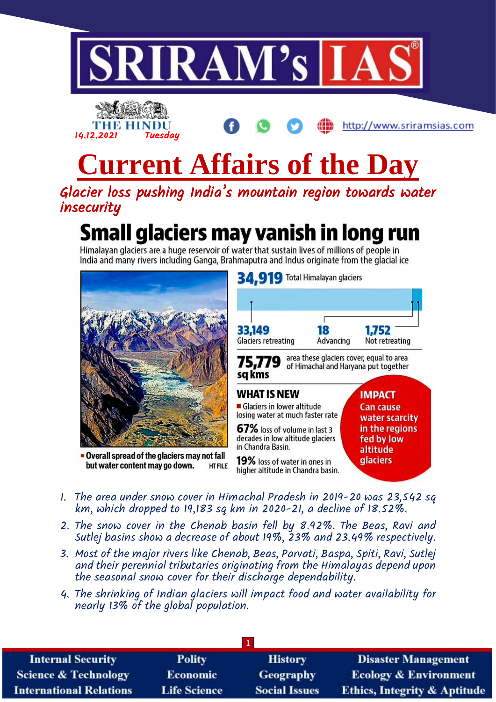



http://www.sriramsias.com

# **Current Affairs of the Day**

Glacier loss pushing India's mountain region towards water insecurity

# Small glaciers may vanish in long run

Himalayan glaciers are a huge reservoir of water that sustain lives of millions of people in India and many rivers including Ganga, Brahmaputra and Indus originate from the glacial ice



- 1. The area under snow cover in Himachal Pradesh in 2019-20 was 23,542 sq km, which dropped to 19,183 sq km in 2020-21, a decline of 18.52%.
- 2. The snow cover in the Chenab basin fell by 8.92%. The Beas, Ravi and Sutlej basins show a decrease of about 19%, 23% and 23.49% respectively.
- 3. Most of the major rivers like Chenab, Beas, Parvati, Baspa, Spiti, Ravi, Sutlej and their perennial tributaries originating from the Himalayas depend upon the seasonal snow cover for their discharge dependability.
- 4. The shrinking of Indian glaciers will impact food and water availability for nearly 13% of the global population.

| <b>Internal Security</b>        | <b>Polity</b>       | <b>History</b>       | <b>Disaster Management</b>              |
|---------------------------------|---------------------|----------------------|-----------------------------------------|
| <b>Science &amp; Technology</b> | <b>Economic</b>     | <b>Geography</b>     | <b>Ecology &amp; Environment</b>        |
| <b>International Relations</b>  | <b>Life Science</b> | <b>Social Issues</b> | <b>Ethics, Integrity &amp; Aptitude</b> |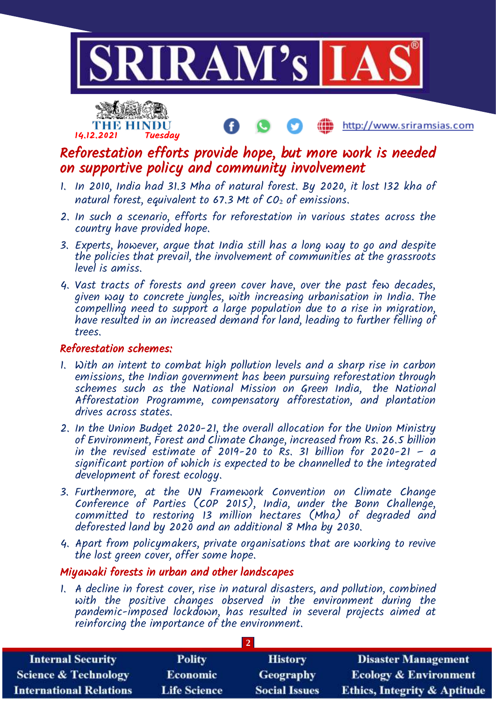



http://www.sriramsias.com

## Reforestation efforts provide hope, but more work is needed on supportive policy and community involvement

- 1. In 2010, India had 31.3 Mha of natural forest. By 2020, it lost 132 kha of natural forest, equivalent to  $67.3$  Mt of  $CO<sub>2</sub>$  of emissions.
- 2. In such a scenario, efforts for reforestation in various states across the country have provided hope.
- 3. Experts, however, argue that India still has a long way to go and despite the policies that prevail, the involvement of communities at the grassroots level is amiss.
- 4. Vast tracts of forests and green cover have, over the past few decades, given way to concrete jungles, with increasing urbanisation in India. The compelling need to support a large population due to a rise in migration, have resulted in an increased demand for land, leading to further felling of trees.

#### Reforestation schemes:

- 1. With an intent to combat high pollution levels and a sharp rise in carbon emissions, the Indian government has been pursuing reforestation through schemes such as the National Mission on Green India, the National Afforestation Programme, compensatory afforestation, and plantation drives across states.
- 2. In the Union Budget 2020-21, the overall allocation for the Union Ministry of Environment, Forest and Climate Change, increased from Rs. 26.5 billion in the revised estimate of 2019-20 to  $\overline{Rs}$ . 31 billion for 2020-21 – a significant portion of which is expected to be channelled to the integrated development of forest ecology.
- 3. Furthermore, at the UN Framework Convention on Climate Change Conference of Parties (COP 2015), India, under the Bonn Challenge, committed to restoring 13 million hectares (Mha) of degraded and deforested land by 2020 and an additional 8 Mha by 2030.
- 4. Apart from policymakers, private organisations that are working to revive the lost green cover, offer some hope.

#### Miyawaki forests in urban and other landscapes

1. A decline in forest cover, rise in natural disasters, and pollution, combined with the positive changes observed in the environment during the pandemic-imposed lockdown, has resulted in several projects aimed at reinforcing the importance of the environment.

| <b>Internal Security</b>        | <b>Polity</b>       | <b>History</b>       | <b>Disaster Management</b>              |
|---------------------------------|---------------------|----------------------|-----------------------------------------|
| <b>Science &amp; Technology</b> | <b>Economic</b>     | <b>Geography</b>     | <b>Ecology &amp; Environment</b>        |
| <b>International Relations</b>  | <b>Life Science</b> | <b>Social Issues</b> | <b>Ethics, Integrity &amp; Aptitude</b> |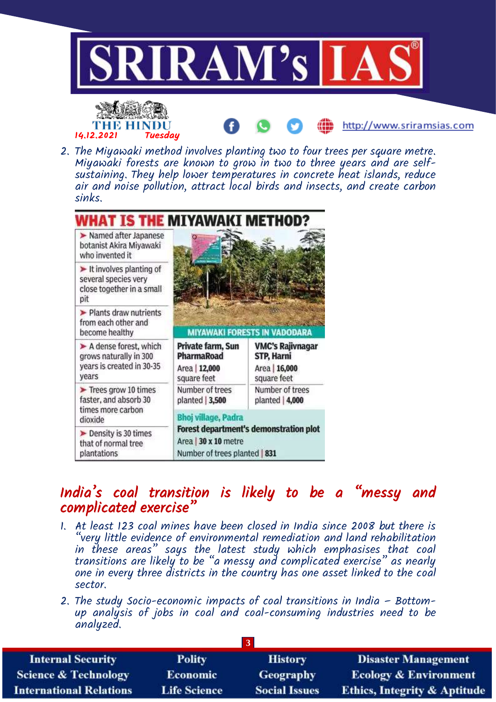

- $\blacktriangleright$  It involves planting of several species very close together in a small pit
- > Plants draw nutrients from each other and become healthy
- A dense forest, which grows naturally in 300 years is created in 30-35 years
- $\blacktriangleright$  Trees grow 10 times faster, and absorb 30 times more carbon dioxide
- Density is 30 times that of normal tree plantations
- **MIYAWAKI FORESTS IN VADODARA** Private farm, Sun **VMC's Rajivnagar** PharmaRoad STP, Harni Area | 12,000 Area | 16,000 square feet square feet Number of trees Number of trees  $planted$  | 3,500 planted | 4,000

**Bhoj village, Padra Forest department's demonstration plot** Area | 30 x 10 metre Number of trees planted | 831

# India's coal transition is likely to be a "messy and complicated exercise"

- 1. At least 123 coal mines have been closed in India since 2008 but there is "very little evidence of environmental remediation and land rehabilitation in these areas" says the latest study which emphasises that coal transitions are likely to be "a messy and complicated exercise" as nearly one in every three districts in the country has one asset linked to the coal sector.
- 2. The study Socio-economic impacts of coal transitions in India Bottomup analysis of jobs in coal and coal-consuming industries need to be analyzed.

| <b>Internal Security</b>        | <b>Polity</b>       | <b>History</b>       | <b>Disaster Management</b>              |
|---------------------------------|---------------------|----------------------|-----------------------------------------|
| <b>Science &amp; Technology</b> | <b>Economic</b>     | <b>Geography</b>     | <b>Ecology &amp; Environment</b>        |
| <b>International Relations</b>  | <b>Life Science</b> | <b>Social Issues</b> | <b>Ethics, Integrity &amp; Aptitude</b> |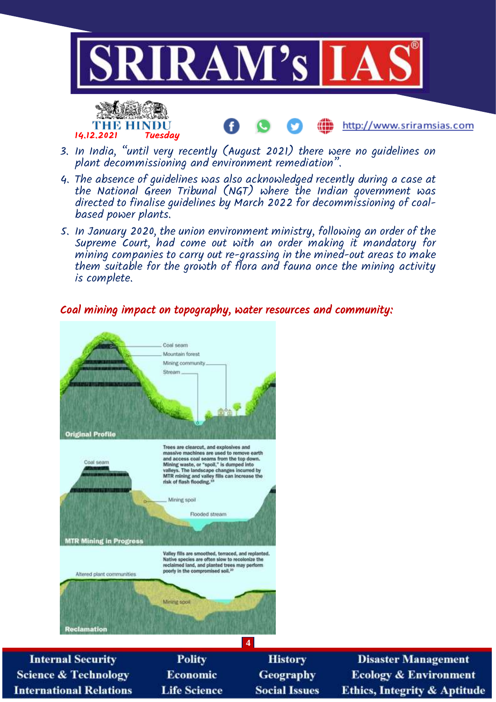

ŒĎ

http://www.sriramsias.com



- 3. In India, "until very recently (August 2021) there were no guidelines on plant decommissioning and environment remediation".
- 4. The absence of guidelines was also acknowledged recently during a case at the National Green Tribunal (NGT) where the Indian government was directed to finalise guidelines by March 2022 for decommissioning of coalbased power plants.
- 5. In January 2020, the union environment ministry, following an order of the Supreme Court, had come out with an order making it mandatory for mining companies to carry out re-grassing in the mined-out areas to make them suitable for the growth of flora and fauna once the mining activity is complete.

#### Coal mining impact on topography, water resources and community:



**Life Science** 

**Social Issues** 

**International Relations** 

**Disaster Management Ecology & Environment Ethics, Integrity & Aptitude**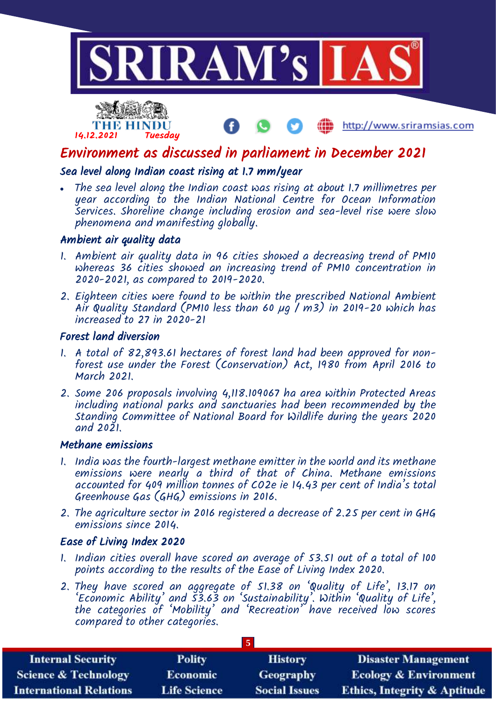



Environment as discussed in parliament in December 2021

http://www.sriramsias.com

#### Sea level along Indian coast rising at 1.7 mm/year

 The sea level along the Indian coast was rising at about 1.7 millimetres per year according to the Indian National Centre for Ocean Information Services. Shoreline change including erosion and sea-level rise were slow phenomena and manifesting globally.

#### Ambient air quality data

- 1. Ambient air quality data in 96 cities showed a decreasing trend of PM10 whereas 36 cities showed an increasing trend of PM10 concentration in 2020-2021, as compared to 2019-2020.
- 2. Eighteen cities were found to be within the prescribed National Ambient Air Quality Standard (PM10 less than 60 µg | m3) in 2019-20 which has increased to 27 in 2020-21

#### Forest land diversion

- 1. A total of 82,893.61 hectares of forest land had been approved for nonforest use under the Forest (Conservation) Act, 1980 from April 2016 to March 2021.
- 2. Some 206 proposals involving 4,118.109067 ha area within Protected Areas including national parks and sanctuaries had been recommended by the Standing Committee of National Board for Wildlife during the years 2020 and 2021.

#### Methane emissions

- 1. India was the fourth-largest methane emitter in the world and its methane emissions were nearly a third of that of China. Methane emissions accounted for 409 million tonnes of CO2e ie 14.43 per cent of India's total Greenhouse Gas (GHG) emissions in 2016.
- 2. The agriculture sector in 2016 registered a decrease of 2.25 per cent in GHG emissions since 2014.

#### Ease of Living Index 2020

- 1. Indian cities overall have scored an average of 53.51 out of a total of 100 points according to the results of the Ease of Living Index 2020.
- 2. They have scored an aggregate of 51.38 on 'Quality of Life', 13.17 on 'Economic Ability' and 53.63 on 'Sustainability'. Within 'Quality of Life', the categories of 'Mobility' and 'Recreation' have received low scores compared to other categories.

| <b>Internal Security</b>        | <b>Polity</b>       | <b>History</b>       | <b>Disaster Management</b>              |
|---------------------------------|---------------------|----------------------|-----------------------------------------|
| <b>Science &amp; Technology</b> | <b>Economic</b>     | Geography            | <b>Ecology &amp; Environment</b>        |
| <b>International Relations</b>  | <b>Life Science</b> | <b>Social Issues</b> | <b>Ethics, Integrity &amp; Aptitude</b> |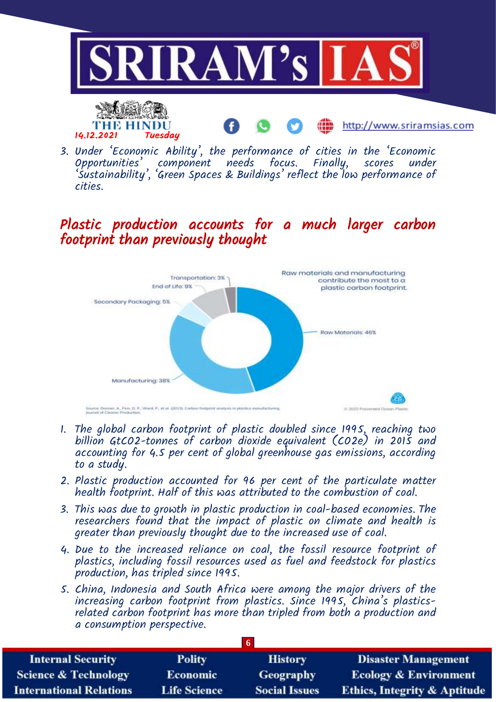

3. Under 'Economic Ability', the performance of cities in the 'Economic Opportunities' component needs focus. Finally, scores under 'Sustainability', 'Green Spaces & Buildings' reflect the low performance of cities.

## Plastic production accounts for a much larger carbon footprint than previously thought



- 1. The global carbon footprint of plastic doubled since 1995, reaching two billion GtCO2-tonnes of carbon dioxide equivalent (CO2e) in 2015 and accounting for 4.5 per cent of global greenhouse gas emissions, according to a study.
- 2. Plastic production accounted for 96 per cent of the particulate matter health footprint. Half of this was attributed to the combustion of coal.
- 3. This was due to growth in plastic production in coal-based economies. The researchers found that the impact of plastic on climate and health is greater than previously thought due to the increased use of coal.
- 4. Due to the increased reliance on coal, the fossil resource footprint of plastics, including fossil resources used as fuel and feedstock for plastics production, has tripled since 1995.
- 5. China, Indonesia and South Africa were among the major drivers of the increasing carbon footprint from plastics. Since 1995, China's plasticsrelated carbon footprint has more than tripled from both a production and a consumption perspective.

| <b>Internal Security</b>        | <b>Polity</b>       | <b>History</b>       | <b>Disaster Management</b>              |
|---------------------------------|---------------------|----------------------|-----------------------------------------|
| <b>Science &amp; Technology</b> | <b>Economic</b>     | <b>Geography</b>     | <b>Ecology &amp; Environment</b>        |
| <b>International Relations</b>  | <b>Life Science</b> | <b>Social Issues</b> | <b>Ethics, Integrity &amp; Aptitude</b> |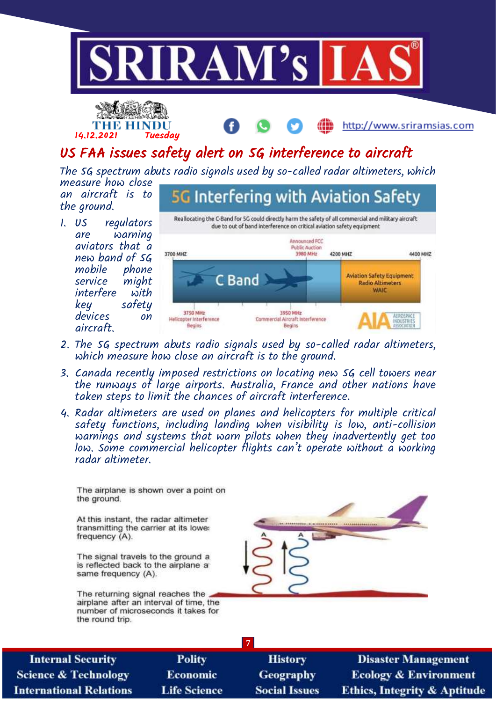





# US FAA issues safety alert on 5G interference to aircraft

The 5G spectrum abuts radio signals used by so-called radar altimeters, which

measure how close an aircraft is to the ground.

1. US regulators are warning aviators that a new band of 5G mobile phone<br>service miaht might interfere with key safety devices on aircraft.

**5G Interfering with Aviation Safety** Reallocating the C-Band for 5G could directly harm the safety of all commercial and military aircraft due to out of band interference on critical aviation safety equipment Announced FCC **Public Auction** 3700 MHZ 4400 MHZ 3980 MHz 4200 MHZ **C** Band **Aviation Safety Equipment Radio Altimeters WAIC** 3750 MHz 3950 MHz Commercial Aircraft Interference Helicopter Interference Begins Begins

- 2. The 5G spectrum abuts radio signals used by so-called radar altimeters, which measure how close an aircraft is to the ground.
- 3. Canada recently imposed restrictions on locating new 5G cell towers near the runways of large airports. Australia, France and other nations have taken steps to limit the chances of aircraft interference.
- 4. Radar altimeters are used on planes and helicopters for multiple critical safety functions, including landing when visibility is low, anti-collision warnings and systems that warn pilots when they inadvertently get too low. Some commercial helicopter flights can't operate without a working radar altimeter.

The airplane is shown over a point on the ground.

At this instant, the radar altimeter transmitting the carrier at its lowe: frequency (A).

The signal travels to the ground a is reflected back to the airplane at same frequency (A).

The returning signal reaches the airplane after an interval of time, the number of microseconds it takes for the round trip.



| <b>Internal Security</b>        |
|---------------------------------|
| <b>Science &amp; Technology</b> |
| <b>International Relations</b>  |

**Polity** Economic **Life Science** 

**History** Geography **Social Issues** 

**7**

**Disaster Management Ecology & Environment Ethics, Integrity & Aptitude**